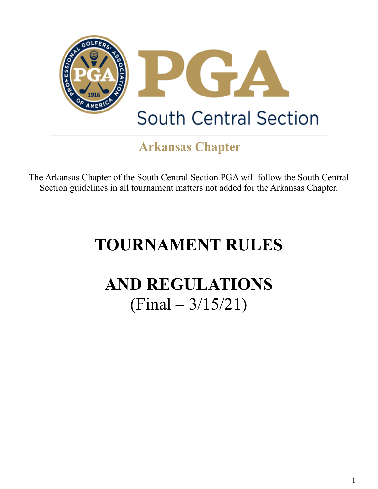

### **Arkansas Chapter**

The Arkansas Chapter of the South Central Section PGA will follow the South Central Section guidelines in all tournament matters not added for the Arkansas Chapter.

# **TOURNAMENT RULES**

## **AND REGULATIONS**   $(Final - 3/15/21)$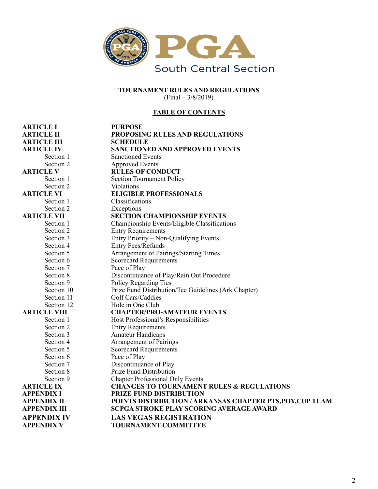

#### **TOURNAMENT RULES AND REGULATIONS**  (Final – 3/8/2019)

#### **TABLE OF CONTENTS**

| <b>ARTICLE I</b>    | <b>PURPOSE</b>                                            |
|---------------------|-----------------------------------------------------------|
| <b>ARTICLE II</b>   | PROPOSING RULES AND REGULATIONS                           |
| <b>ARTICLE III</b>  | <b>SCHEDULE</b>                                           |
| <b>ARTICLE IV</b>   | <b>SANCTIONED AND APPROVED EVENTS</b>                     |
| Section 1           | <b>Sanctioned Events</b>                                  |
| Section 2           | <b>Approved Events</b>                                    |
| <b>ARTICLE V</b>    | <b>RULES OF CONDUCT</b>                                   |
| Section 1           | <b>Section Tournament Policy</b>                          |
| Section 2           | Violations                                                |
| <b>ARTICLE VI</b>   | <b>ELIGIBLE PROFESSIONALS</b>                             |
| Section 1           | Classifications                                           |
| Section 2           | Exceptions                                                |
| <b>ARTICLE VII</b>  | <b>SECTION CHAMPIONSHIP EVENTS</b>                        |
| Section 1           | Championship Events/Eligible Classifications              |
| Section 2           | <b>Entry Requirements</b>                                 |
| Section 3           | Entry Priority – Non-Qualifying Events                    |
| Section 4           | <b>Entry Fees/Refunds</b>                                 |
| Section 5           | Arrangement of Pairings/Starting Times                    |
| Section 6           | <b>Scorecard Requirements</b>                             |
| Section 7           | Pace of Play                                              |
| Section 8           | Discontinuance of Play/Rain Out Procedure                 |
| Section 9           | Policy Regarding Ties                                     |
| Section 10          | Prize Fund Distribution/Tee Guidelines (Ark Chapter)      |
| Section 11          | Golf Cars/Caddies                                         |
| Section 12          | Hole in One Club                                          |
| <b>ARTICLE VIII</b> | <b>CHAPTER/PRO-AMATEUR EVENTS</b>                         |
| Section 1           | Host Professional's Responsibilities                      |
| Section 2           | <b>Entry Requirements</b>                                 |
| Section 3           | <b>Amateur Handicaps</b>                                  |
| Section 4           | <b>Arrangement of Pairings</b>                            |
| Section 5           | <b>Scorecard Requirements</b>                             |
| Section 6           | Pace of Play                                              |
| Section 7           | Discontinuance of Play                                    |
| Section 8           | Prize Fund Distribution                                   |
| Section 9           | <b>Chapter Professional Only Events</b>                   |
| <b>ARTICLE IX</b>   | <b>CHANGES TO TOURNAMENT RULES &amp; REGULATIONS</b>      |
| <b>APPENDIX I</b>   | PRIZE FUND DISTRIBUTION                                   |
| <b>APPENDIX II</b>  | POINTS DISTRIBUTION / ARKANSAS CHAPTER PTS, POY, CUP TEAM |
| <b>APPENDIX III</b> | <b>SCPGA STROKE PLAY SCORING AVERAGE AWARD</b>            |
| <b>APPENDIX IV</b>  | <b>LAS VEGAS REGISTRATION</b>                             |
| <b>APPENDIX V</b>   | <b>TOURNAMENT COMMITTEE</b>                               |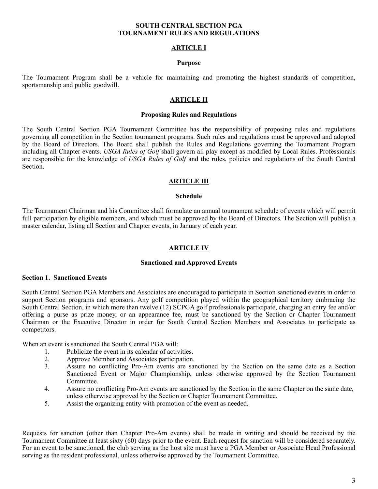#### **SOUTH CENTRAL SECTION PGA TOURNAMENT RULES AND REGULATIONS**

#### **ARTICLE I**

#### **Purpose**

The Tournament Program shall be a vehicle for maintaining and promoting the highest standards of competition, sportsmanship and public goodwill.

#### **ARTICLE II**

#### **Proposing Rules and Regulations**

The South Central Section PGA Tournament Committee has the responsibility of proposing rules and regulations governing all competition in the Section tournament programs. Such rules and regulations must be approved and adopted by the Board of Directors. The Board shall publish the Rules and Regulations governing the Tournament Program including all Chapter events. *USGA Rules of Golf* shall govern all play except as modified by Local Rules. Professionals are responsible for the knowledge of *USGA Rules of Golf* and the rules, policies and regulations of the South Central Section.

#### **ARTICLE III**

#### **Schedule**

The Tournament Chairman and his Committee shall formulate an annual tournament schedule of events which will permit full participation by eligible members, and which must be approved by the Board of Directors. The Section will publish a master calendar, listing all Section and Chapter events, in January of each year.

#### **ARTICLE IV**

#### **Sanctioned and Approved Events**

#### **Section 1. Sanctioned Events**

South Central Section PGA Members and Associates are encouraged to participate in Section sanctioned events in order to support Section programs and sponsors. Any golf competition played within the geographical territory embracing the South Central Section, in which more than twelve (12) SCPGA golf professionals participate, charging an entry fee and/or offering a purse as prize money, or an appearance fee, must be sanctioned by the Section or Chapter Tournament Chairman or the Executive Director in order for South Central Section Members and Associates to participate as competitors.

When an event is sanctioned the South Central PGA will:

- 1. Publicize the event in its calendar of activities.
- 2. Approve Member and Associates participation.<br>3. Assure no conflicting Pro-Am events are sai
- Assure no conflicting Pro-Am events are sanctioned by the Section on the same date as a Section Sanctioned Event or Major Championship, unless otherwise approved by the Section Tournament Committee.
- 4. Assure no conflicting Pro-Am events are sanctioned by the Section in the same Chapter on the same date, unless otherwise approved by the Section or Chapter Tournament Committee.
- 5. Assist the organizing entity with promotion of the event as needed.

Requests for sanction (other than Chapter Pro-Am events) shall be made in writing and should be received by the Tournament Committee at least sixty (60) days prior to the event. Each request for sanction will be considered separately. For an event to be sanctioned, the club serving as the host site must have a PGA Member or Associate Head Professional serving as the resident professional, unless otherwise approved by the Tournament Committee.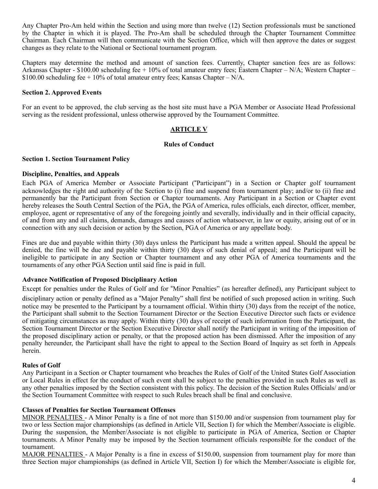Any Chapter Pro-Am held within the Section and using more than twelve (12) Section professionals must be sanctioned by the Chapter in which it is played. The Pro-Am shall be scheduled through the Chapter Tournament Committee Chairman. Each Chairman will then communicate with the Section Office, which will then approve the dates or suggest changes as they relate to the National or Sectional tournament program.

Chapters may determine the method and amount of sanction fees. Currently, Chapter sanction fees are as follows: Arkansas Chapter - \$100.00 scheduling fee + 10% of total amateur entry fees; Eastern Chapter – N/A; Western Chapter – \$100.00 scheduling fee  $+10\%$  of total amateur entry fees; Kansas Chapter – N/A.

#### **Section 2. Approved Events**

For an event to be approved, the club serving as the host site must have a PGA Member or Associate Head Professional serving as the resident professional, unless otherwise approved by the Tournament Committee.

#### **ARTICLE V**

#### **Rules of Conduct**

#### **Section 1. Section Tournament Policy**

#### **Discipline, Penalties, and Appeals**

Each PGA of America Member or Associate Participant ("Participant") in a Section or Chapter golf tournament acknowledges the right and authority of the Section to (i) fine and suspend from tournament play; and/or to (ii) fine and permanently bar the Participant from Section or Chapter tournaments. Any Participant in a Section or Chapter event hereby releases the South Central Section of the PGA, the PGA of America, rules officials, each director, officer, member, employee, agent or representative of any of the foregoing jointly and severally, individually and in their official capacity, of and from any and all claims, demands, damages and causes of action whatsoever, in law or equity, arising out of or in connection with any such decision or action by the Section, PGA of America or any appellate body.

Fines are due and payable within thirty (30) days unless the Participant has made a written appeal. Should the appeal be denied, the fine will be due and payable within thirty (30) days of such denial of appeal; and the Participant will be ineligible to participate in any Section or Chapter tournament and any other PGA of America tournaments and the tournaments of any other PGA Section until said fine is paid in full.

#### **Advance Notification of Proposed Disciplinary Action**

Except for penalties under the Rules of Golf and for "Minor Penalties" (as hereafter defined), any Participant subject to disciplinary action or penalty defined as a "Major Penalty" shall first be notified of such proposed action in writing. Such notice may be presented to the Participant by a tournament official. Within thirty (30) days from the receipt of the notice, the Participant shall submit to the Section Tournament Director or the Section Executive Director such facts or evidence of mitigating circumstances as may apply. Within thirty (30) days of receipt of such information from the Participant, the Section Tournament Director or the Section Executive Director shall notify the Participant in writing of the imposition of the proposed disciplinary action or penalty, or that the proposed action has been dismissed. After the imposition of any penalty hereunder, the Participant shall have the right to appeal to the Section Board of Inquiry as set forth in Appeals herein.

#### **Rules of Golf**

Any Participant in a Section or Chapter tournament who breaches the Rules of Golf of the United States Golf Association or Local Rules in effect for the conduct of such event shall be subject to the penalties provided in such Rules as well as any other penalties imposed by the Section consistent with this policy. The decision of the Section Rules Officials/ and/or the Section Tournament Committee with respect to such Rules breach shall be final and conclusive.

#### **Classes of Penalties for Section Tournament Offenses**

MINOR PENALTIES - A Minor Penalty is a fine of not more than \$150.00 and/or suspension from tournament play for two or less Section major championships (as defined in Article VII, Section I) for which the Member/Associate is eligible. During the suspension, the Member/Associate is not eligible to participate in PGA of America, Section or Chapter tournaments. A Minor Penalty may be imposed by the Section tournament officials responsible for the conduct of the tournament.

MAJOR PENALTIES - A Major Penalty is a fine in excess of \$150.00, suspension from tournament play for more than three Section major championships (as defined in Article VII, Section I) for which the Member/Associate is eligible for,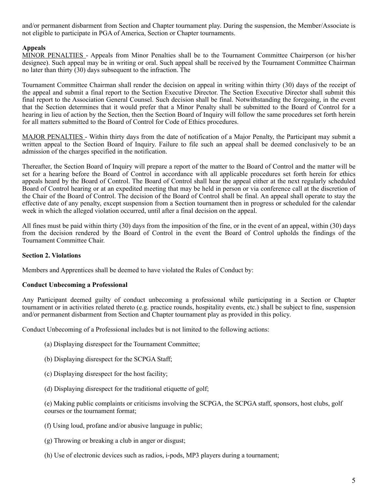and/or permanent disbarment from Section and Chapter tournament play. During the suspension, the Member/Associate is not eligible to participate in PGA of America, Section or Chapter tournaments.

#### **Appeals**

MINOR PENALTIES - Appeals from Minor Penalties shall be to the Tournament Committee Chairperson (or his/her designee). Such appeal may be in writing or oral. Such appeal shall be received by the Tournament Committee Chairman no later than thirty (30) days subsequent to the infraction. The

Tournament Committee Chairman shall render the decision on appeal in writing within thirty (30) days of the receipt of the appeal and submit a final report to the Section Executive Director. The Section Executive Director shall submit this final report to the Association General Counsel. Such decision shall be final. Notwithstanding the foregoing, in the event that the Section determines that it would prefer that a Minor Penalty shall be submitted to the Board of Control for a hearing in lieu of action by the Section, then the Section Board of Inquiry will follow the same procedures set forth herein for all matters submitted to the Board of Control for Code of Ethics procedures.

MAJOR PENALTIES - Within thirty days from the date of notification of a Major Penalty, the Participant may submit a written appeal to the Section Board of Inquiry. Failure to file such an appeal shall be deemed conclusively to be an admission of the charges specified in the notification.

Thereafter, the Section Board of Inquiry will prepare a report of the matter to the Board of Control and the matter will be set for a hearing before the Board of Control in accordance with all applicable procedures set forth herein for ethics appeals heard by the Board of Control. The Board of Control shall hear the appeal either at the next regularly scheduled Board of Control hearing or at an expedited meeting that may be held in person or via conference call at the discretion of the Chair of the Board of Control. The decision of the Board of Control shall be final. An appeal shall operate to stay the effective date of any penalty, except suspension from a Section tournament then in progress or scheduled for the calendar week in which the alleged violation occurred, until after a final decision on the appeal.

All fines must be paid within thirty (30) days from the imposition of the fine, or in the event of an appeal, within (30) days from the decision rendered by the Board of Control in the event the Board of Control upholds the findings of the Tournament Committee Chair.

#### **Section 2. Violations**

Members and Apprentices shall be deemed to have violated the Rules of Conduct by:

#### **Conduct Unbecoming a Professional**

Any Participant deemed guilty of conduct unbecoming a professional while participating in a Section or Chapter tournament or in activities related thereto (e.g. practice rounds, hospitality events, etc.) shall be subject to fine, suspension and/or permanent disbarment from Section and Chapter tournament play as provided in this policy.

Conduct Unbecoming of a Professional includes but is not limited to the following actions:

- (a) Displaying disrespect for the Tournament Committee;
- (b) Displaying disrespect for the SCPGA Staff;
- (c) Displaying disrespect for the host facility;
- (d) Displaying disrespect for the traditional etiquette of golf;

(e) Making public complaints or criticisms involving the SCPGA, the SCPGA staff, sponsors, host clubs, golf courses or the tournament format;

- (f) Using loud, profane and/or abusive language in public;
- (g) Throwing or breaking a club in anger or disgust;
- (h) Use of electronic devices such as radios, i-pods, MP3 players during a tournament;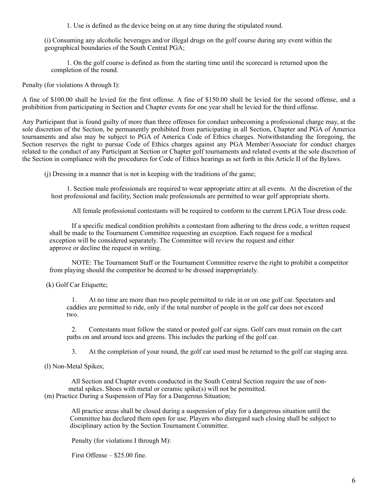1. Use is defined as the device being on at any time during the stipulated round.

(i) Consuming any alcoholic beverages and/or illegal drugs on the golf course during any event within the geographical boundaries of the South Central PGA;

1. On the golf course is defined as from the starting time until the scorecard is returned upon the completion of the round.

Penalty (for violations A through I):

A fine of \$100.00 shall be levied for the first offense. A fine of \$150.00 shall be levied for the second offense, and a prohibition from participating in Section and Chapter events for one year shall be levied for the third offense.

Any Participant that is found guilty of more than three offenses for conduct unbecoming a professional charge may, at the sole discretion of the Section, be permanently prohibited from participating in all Section, Chapter and PGA of America tournaments and also may be subject to PGA of America Code of Ethics charges. Notwithstanding the foregoing, the Section reserves the right to pursue Code of Ethics charges against any PGA Member/Associate for conduct charges related to the conduct of any Participant at Section or Chapter golf tournaments and related events at the sole discretion of the Section in compliance with the procedures for Code of Ethics hearings as set forth in this Article II of the Bylaws.

(j) Dressing in a manner that is not in keeping with the traditions of the game;

1. Section male professionals are required to wear appropriate attire at all events. At the discretion of the host professional and facility, Section male professionals are permitted to wear golf appropriate shorts.

All female professional contestants will be required to conform to the current LPGA Tour dress code.

 If a specific medical condition prohibits a contestant from adhering to the dress code, a written request shall be made to the Tournament Committee requesting an exception. Each request for a medical exception will be considered separately. The Committee will review the request and either approve or decline the request in writing.

 NOTE: The Tournament Staff or the Tournament Committee reserve the right to prohibit a competitor from playing should the competitor be deemed to be dressed inappropriately.

(k) Golf Car Etiquette;

 1. At no time are more than two people permitted to ride in or on one golf car. Spectators and caddies are permitted to ride, only if the total number of people in the golf car does not exceed two.

 2. Contestants must follow the stated or posted golf car signs. Golf cars must remain on the cart paths on and around tees and greens. This includes the parking of the golf car.

3. At the completion of your round, the golf car used must be returned to the golf car staging area.

(l) Non-Metal Spikes;

 All Section and Chapter events conducted in the South Central Section require the use of non metal spikes. Shoes with metal or ceramic spike(s) will not be permitted. (m) Practice During a Suspension of Play for a Dangerous Situation;

 All practice areas shall be closed during a suspension of play for a dangerous situation until the Committee has declared them open for use. Players who disregard such closing shall be subject to disciplinary action by the Section Tournament Committee.

Penalty (for violations I through M):

First Offense – \$25.00 fine.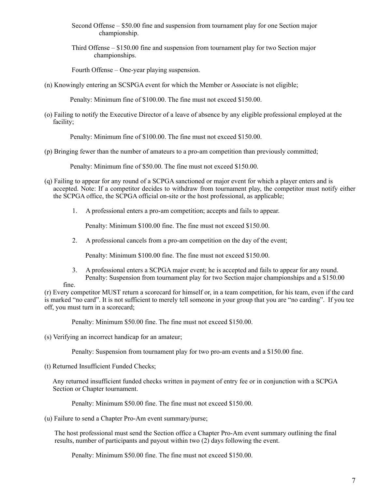- Second Offense \$50.00 fine and suspension from tournament play for one Section major championship.
- Third Offense \$150.00 fine and suspension from tournament play for two Section major championships.

Fourth Offense – One-year playing suspension.

(n) Knowingly entering an SCSPGA event for which the Member or Associate is not eligible;

Penalty: Minimum fine of \$100.00. The fine must not exceed \$150.00.

(o) Failing to notify the Executive Director of a leave of absence by any eligible professional employed at the facility;

Penalty: Minimum fine of \$100.00. The fine must not exceed \$150.00.

(p) Bringing fewer than the number of amateurs to a pro-am competition than previously committed;

Penalty: Minimum fine of \$50.00. The fine must not exceed \$150.00.

- (q) Failing to appear for any round of a SCPGA sanctioned or major event for which a player enters and is accepted. Note: If a competitor decides to withdraw from tournament play, the competitor must notify either the SCPGA office, the SCPGA official on-site or the host professional, as applicable;
	- 1. A professional enters a pro-am competition; accepts and fails to appear.

Penalty: Minimum \$100.00 fine. The fine must not exceed \$150.00.

2. A professional cancels from a pro-am competition on the day of the event;

Penalty: Minimum \$100.00 fine. The fine must not exceed \$150.00.

3. A professional enters a SCPGA major event; he is accepted and fails to appear for any round. Penalty: Suspension from tournament play for two Section major championships and a \$150.00

fine.

(r) Every competitor MUST return a scorecard for himself or, in a team competition, for his team, even if the card is marked "no card". It is not sufficient to merely tell someone in your group that you are "no carding". If you tee off, you must turn in a scorecard;

Penalty: Minimum \$50.00 fine. The fine must not exceed \$150.00.

(s) Verifying an incorrect handicap for an amateur;

Penalty: Suspension from tournament play for two pro-am events and a \$150.00 fine.

(t) Returned Insufficient Funded Checks;

 Any returned insufficient funded checks written in payment of entry fee or in conjunction with a SCPGA Section or Chapter tournament.

Penalty: Minimum \$50.00 fine. The fine must not exceed \$150.00.

(u) Failure to send a Chapter Pro-Am event summary/purse;

 The host professional must send the Section office a Chapter Pro-Am event summary outlining the final results, number of participants and payout within two (2) days following the event.

Penalty: Minimum \$50.00 fine. The fine must not exceed \$150.00.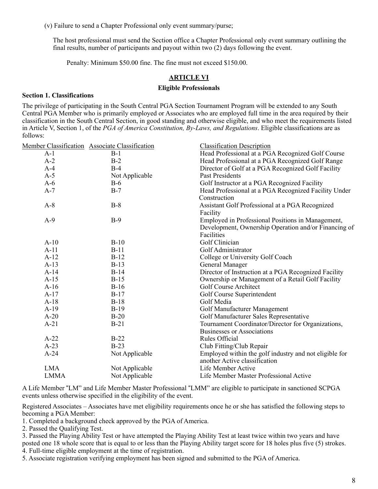(v) Failure to send a Chapter Professional only event summary/purse;

 The host professional must send the Section office a Chapter Professional only event summary outlining the final results, number of participants and payout within two (2) days following the event.

Penalty: Minimum \$50.00 fine. The fine must not exceed \$150.00.

#### **ARTICLE VI**

#### **Eligible Professionals**

#### **Section 1. Classifications**

The privilege of participating in the South Central PGA Section Tournament Program will be extended to any South Central PGA Member who is primarily employed or Associates who are employed full time in the area required by their classification in the South Central Section, in good standing and otherwise eligible, and who meet the requirements listed in Article V, Section 1, of the *PGA of America Constitution, By-Laws, and Regulations*. Eligible classifications are as follows:

|             | Member Classification Associate Classification | <b>Classification Description</b>                                                                                       |
|-------------|------------------------------------------------|-------------------------------------------------------------------------------------------------------------------------|
| $A-1$       | $B-1$                                          | Head Professional at a PGA Recognized Golf Course                                                                       |
| $A-2$       | $B-2$                                          | Head Professional at a PGA Recognized Golf Range                                                                        |
| $A-4$       | $B-4$                                          | Director of Golf at a PGA Recognized Golf Facility                                                                      |
| $A-5$       | Not Applicable                                 | <b>Past Presidents</b>                                                                                                  |
| $A-6$       | $B-6$                                          | Golf Instructor at a PGA Recognized Facility                                                                            |
| $A-7$       | $B-7$                                          | Head Professional at a PGA Recognized Facility Under<br>Construction                                                    |
| $A-8$       | $B-8$                                          | Assistant Golf Professional at a PGA Recognized<br>Facility                                                             |
| $A-9$       | $B-9$                                          | Employed in Professional Positions in Management,<br>Development, Ownership Operation and/or Financing of<br>Facilities |
| $A-10$      | $B-10$                                         | Golf Clinician                                                                                                          |
| $A-11$      | $B-11$                                         | Golf Administrator                                                                                                      |
| $A-12$      | $B-12$                                         | College or University Golf Coach                                                                                        |
| $A-13$      | $B-13$                                         | General Manager                                                                                                         |
| $A-14$      | $B-14$                                         | Director of Instruction at a PGA Recognized Facility                                                                    |
| $A-15$      | $B-15$                                         | Ownership or Management of a Retail Golf Facility                                                                       |
| $A-16$      | $B-16$                                         | <b>Golf Course Architect</b>                                                                                            |
| $A-17$      | $B-17$                                         | Golf Course Superintendent                                                                                              |
| $A-18$      | $B-18$                                         | Golf Media                                                                                                              |
| $A-19$      | $B-19$                                         | Golf Manufacturer Management                                                                                            |
| $A-20$      | $B-20$                                         | Golf Manufacturer Sales Representative                                                                                  |
| $A-21$      | $B-21$                                         | Tournament Coordinator/Director for Organizations,<br><b>Businesses or Associations</b>                                 |
| $A-22$      | $B-22$                                         | <b>Rules Official</b>                                                                                                   |
| $A-23$      | $B-23$                                         | Club Fitting/Club Repair                                                                                                |
| $A-24$      | Not Applicable                                 | Employed within the golf industry and not eligible for<br>another Active classification                                 |
| <b>LMA</b>  | Not Applicable                                 | Life Member Active                                                                                                      |
| <b>LMMA</b> | Not Applicable                                 | Life Member Master Professional Active                                                                                  |

A Life Member "LM" and Life Member Master Professional "LMM" are eligible to participate in sanctioned SCPGA events unless otherwise specified in the eligibility of the event.

Registered Associates – Associates have met eligibility requirements once he or she has satisfied the following steps to becoming a PGA Member:

1. Completed a background check approved by the PGA of America.

2. Passed the Qualifying Test.

3. Passed the Playing Ability Test or have attempted the Playing Ability Test at least twice within two years and have posted one 18 whole score that is equal to or less than the Playing Ability target score for 18 holes plus five (5) strokes.

4. Full-time eligible employment at the time of registration.

5. Associate registration verifying employment has been signed and submitted to the PGA of America.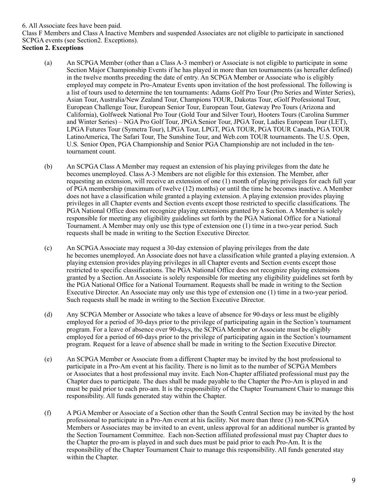#### 6. All Associate fees have been paid.

Class F Members and Class A Inactive Members and suspended Associates are not eligible to participate in sanctioned SCPGA events (see Section2. Exceptions).

#### **Section 2. Exceptions**

- (a) An SCPGA Member (other than a Class A-3 member) or Associate is not eligible to participate in some Section Major Championship Events if he has played in more than ten tournaments (as hereafter defined) in the twelve months preceding the date of entry. An SCPGA Member or Associate who is eligibly employed may compete in Pro-Amateur Events upon invitation of the host professional. The following is a list of tours used to determine the ten tournaments: Adams Golf Pro Tour (Pro Series and Winter Series), Asian Tour, Australia/New Zealand Tour, Champions TOUR, Dakotas Tour, eGolf Professional Tour, European Challenge Tour, European Senior Tour, European Tour, Gateway Pro Tours (Arizona and California), Golfweek National Pro Tour (Gold Tour and Silver Tour), Hooters Tours (Carolina Summer and Winter Series) – NGA Pro Golf Tour, JPGA Senior Tour, JPGA Tour, Ladies European Tour (LET), LPGA Futures Tour (Symetra Tour), LPGA Tour, LPGT, PGA TOUR, PGA TOUR Canada, PGA TOUR LatinoAmerica, The Safari Tour, The Sunshine Tour, and Web.com TOUR tournaments. The U.S. Open, U.S. Senior Open, PGA Championship and Senior PGA Championship are not included in the tentournament count.
- (b) An SCPGA Class A Member may request an extension of his playing privileges from the date he becomes unemployed. Class A-3 Members are not eligible for this extension. The Member, after requesting an extension, will receive an extension of one (1) month of playing privileges for each full year of PGA membership (maximum of twelve (12) months) or until the time he becomes inactive. A Member does not have a classification while granted a playing extension. A playing extension provides playing privileges in all Chapter events and Section events except those restricted to specific classifications. The PGA National Office does not recognize playing extensions granted by a Section. A Member is solely responsible for meeting any eligibility guidelines set forth by the PGA National Office for a National Tournament. A Member may only use this type of extension one (1) time in a two-year period. Such requests shall be made in writing to the Section Executive Director.
- (c) An SCPGA Associate may request a 30-day extension of playing privileges from the date he becomes unemployed. An Associate does not have a classification while granted a playing extension. A playing extension provides playing privileges in all Chapter events and Section events except those restricted to specific classifications. The PGA National Office does not recognize playing extensions granted by a Section. An Associate is solely responsible for meeting any eligibility guidelines set forth by the PGA National Office for a National Tournament. Requests shall be made in writing to the Section Executive Director. An Associate may only use this type of extension one (1) time in a two-year period. Such requests shall be made in writing to the Section Executive Director.
- (d) Any SCPGA Member or Associate who takes a leave of absence for 90-days or less must be eligibly employed for a period of 30-days prior to the privilege of participating again in the Section's tournament program. For a leave of absence over 90-days, the SCPGA Member or Associate must be eligibly employed for a period of 60-days prior to the privilege of participating again in the Section's tournament program. Request for a leave of absence shall be made in writing to the Section Executive Director.
- (e) An SCPGA Member or Associate from a different Chapter may be invited by the host professional to participate in a Pro-Am event at his facility. There is no limit as to the number of SCPGA Members or Associates that a host professional may invite. Each Non-Chapter affiliated professional must pay the Chapter dues to participate. The dues shall be made payable to the Chapter the Pro-Am is played in and must be paid prior to each pro-am. It is the responsibility of the Chapter Tournament Chair to manage this responsibility. All funds generated stay within the Chapter.
- (f) A PGA Member or Associate of a Section other than the South Central Section may be invited by the host professional to participate in a Pro-Am event at his facility. Not more than three (3) non-SCPGA Members or Associates may be invited to an event, unless approval for an additional number is granted by the Section Tournament Committee. Each non-Section affiliated professional must pay Chapter dues to the Chapter the pro-am is played in and such dues must be paid prior to each Pro-Am. It is the responsibility of the Chapter Tournament Chair to manage this responsibility. All funds generated stay within the Chapter.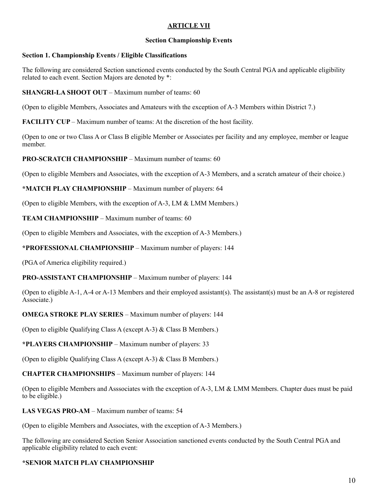#### **ARTICLE VII**

#### **Section Championship Events**

#### **Section 1. Championship Events / Eligible Classifications**

The following are considered Section sanctioned events conducted by the South Central PGA and applicable eligibility related to each event. Section Majors are denoted by \*:

#### **SHANGRI-LA SHOOT OUT** – Maximum number of teams: 60

(Open to eligible Members, Associates and Amateurs with the exception of A-3 Members within District 7.)

**FACILITY CUP** – Maximum number of teams: At the discretion of the host facility.

(Open to one or two Class A or Class B eligible Member or Associates per facility and any employee, member or league member.

#### **PRO-SCRATCH CHAMPIONSHIP** – Maximum number of teams: 60

(Open to eligible Members and Associates, with the exception of A-3 Members, and a scratch amateur of their choice.)

**\*MATCH PLAY CHAMPIONSHIP** – Maximum number of players: 64

(Open to eligible Members, with the exception of A-3, LM & LMM Members.)

**TEAM CHAMPIONSHIP** – Maximum number of teams: 60

(Open to eligible Members and Associates, with the exception of A-3 Members.)

#### **\*PROFESSIONAL CHAMPIONSHIP** – Maximum number of players: 144

(PGA of America eligibility required.)

#### **PRO-ASSISTANT CHAMPIONSHIP** – Maximum number of players: 144

(Open to eligible A-1, A-4 or A-13 Members and their employed assistant(s). The assistant(s) must be an A-8 or registered Associate.)

**OMEGA STROKE PLAY SERIES** – Maximum number of players: 144

(Open to eligible Qualifying Class A (except A-3) & Class B Members.)

**\*PLAYERS CHAMPIONSHIP** – Maximum number of players: 33

(Open to eligible Qualifying Class A (except A-3) & Class B Members.)

**CHAPTER CHAMPIONSHIPS** – Maximum number of players: 144

(Open to eligible Members and Asssociates with the exception of A-3, LM & LMM Members. Chapter dues must be paid to be eligible.)

#### **LAS VEGAS PRO-AM** – Maximum number of teams: 54

(Open to eligible Members and Associates, with the exception of A-3 Members.)

The following are considered Section Senior Association sanctioned events conducted by the South Central PGA and applicable eligibility related to each event:

#### **\*SENIOR MATCH PLAY CHAMPIONSHIP**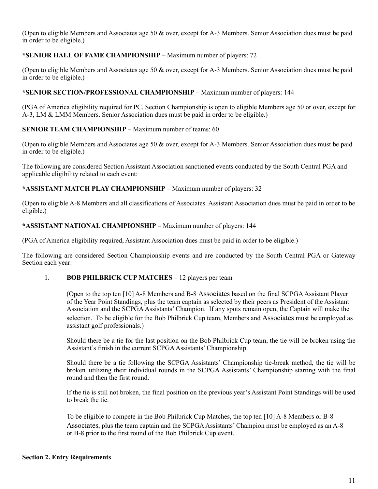(Open to eligible Members and Associates age 50 & over, except for A-3 Members. Senior Association dues must be paid in order to be eligible.)

#### **\*SENIOR HALL OF FAME CHAMPIONSHIP** – Maximum number of players: 72

(Open to eligible Members and Associates age 50 & over, except for A-3 Members. Senior Association dues must be paid in order to be eligible.)

#### **\*SENIOR SECTION/PROFESSIONAL CHAMPIONSHIP** – Maximum number of players: 144

(PGA of America eligibility required for PC, Section Championship is open to eligible Members age 50 or over, except for A-3, LM & LMM Members. Senior Association dues must be paid in order to be eligible.)

#### **SENIOR TEAM CHAMPIONSHIP** – Maximum number of teams: 60

(Open to eligible Members and Associates age 50 & over, except for A-3 Members. Senior Association dues must be paid in order to be eligible.)

The following are considered Section Assistant Association sanctioned events conducted by the South Central PGA and applicable eligibility related to each event:

#### **\*ASSISTANT MATCH PLAY CHAMPIONSHIP** – Maximum number of players: 32

(Open to eligible A-8 Members and all classifications of Associates. Assistant Association dues must be paid in order to be eligible.)

#### **\*ASSISTANT NATIONAL CHAMPIONSHIP** – Maximum number of players: 144

(PGA of America eligibility required, Assistant Association dues must be paid in order to be eligible.)

The following are considered Section Championship events and are conducted by the South Central PGA or Gateway Section each year:

#### 1. **BOB PHILBRICK CUP MATCHES** – 12 players per team

(Open to the top ten [10] A-8 Members and B-8 Associates based on the final SCPGA Assistant Player of the Year Point Standings, plus the team captain as selected by their peers as President of the Assistant Association and the SCPGA Assistants' Champion. If any spots remain open, the Captain will make the selection. To be eligible for the Bob Philbrick Cup team, Members and Associates must be employed as assistant golf professionals.)

Should there be a tie for the last position on the Bob Philbrick Cup team, the tie will be broken using the Assistant's finish in the current SCPGA Assistants' Championship.

Should there be a tie following the SCPGA Assistants' Championship tie-break method, the tie will be broken utilizing their individual rounds in the SCPGA Assistants' Championship starting with the final round and then the first round.

If the tie is still not broken, the final position on the previous year's Assistant Point Standings will be used to break the tie.

To be eligible to compete in the Bob Philbrick Cup Matches, the top ten [10] A-8 Members or B-8 Associates, plus the team captain and the SCPGA Assistants' Champion must be employed as an A-8 or B-8 prior to the first round of the Bob Philbrick Cup event.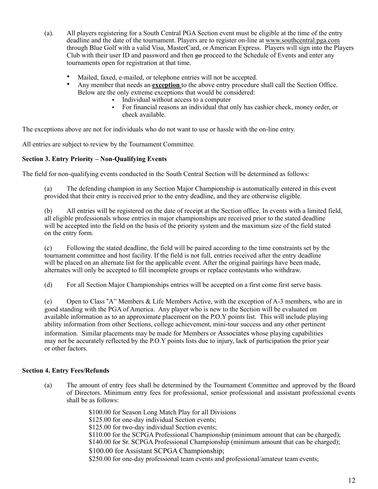- (a). All players registering for a South Central PGA Section event must be eligible at the time of the entry deadline and the date of the tournament. Players are to register on-line at [www.southcentral.pga.com](http://www.southcentral.pga.com) through Blue Golf with a valid Visa, MasterCard, or American Express. Players will sign into the Players Club with their user ID and password and then go proceed to the Schedule of Events and enter any tournaments open for registration at that time.
	- Mailed, faxed, e-mailed, or telephone entries will not be accepted.
	- Any member that needs an **exception** to the above entry procedure shall call the Section Office. Below are the only extreme exceptions that would be considered:
		- Individual without access to a computer
		- " For financial reasons an individual that only has cashier check, money order, or check available.

The exceptions above are not for individuals who do not want to use or hassle with the on-line entry.

All entries are subject to review by the Tournament Committee.

#### **Section 3. Entry Priority – Non-Qualifying Events**

The field for non-qualifying events conducted in the South Central Section will be determined as follows:

(a) The defending champion in any Section Major Championship is automatically entered in this event provided that their entry is received prior to the entry deadline, and they are otherwise eligible.

(b) All entries will be registered on the date of receipt at the Section office. In events with a limited field, all eligible professionals whose entries in major championships are received prior to the stated deadline will be accepted into the field on the basis of the priority system and the maximum size of the field stated on the entry form.

(c) Following the stated deadline, the field will be paired according to the time constraints set by the tournament committee and host facility. If the field is not full, entries received after the entry deadline will be placed on an alternate list for the applicable event. After the original pairings have been made, alternates will only be accepted to fill incomplete groups or replace contestants who withdraw.

(d) For all Section Major Championships entries will be accepted on a first come first serve basis.

(e) Open to Class !A" Members & Life Members Active, with the exception of A-3 members, who are in good standing with the PGA of America. Any player who is new to the Section will be evaluated on available information as to an approximate placement on the P.O.Y points list. This will include playing ability information from other Sections, college achievement, mini-tour success and any other pertinent information. Similar placements may be made for Members or Associates whose playing capabilities may not be accurately reflected by the P.O.Y points lists due to injury, lack of participation the prior year or other factors.

#### **Section 4. Entry Fees/Refunds**

- (a) The amount of entry fees shall be determined by the Tournament Committee and approved by the Board of Directors. Minimum entry fees for professional, senior professional and assistant professional events shall be as follows:
	- \$100.00 for Season Long Match Play for all Divisions
	- \$125.00 for one-day individual Section events;
	- \$125.00 for two-day individual Section events;

\$110.00 for the SCPGA Professional Championship (minimum amount that can be charged);

\$140.00 for Sr. SCPGA Professional Championship (minimum amount that can be charged);

\$100.00 for Assistant SCPGA Championship;

\$250.00 for one-day professional team events and professional/amateur team events;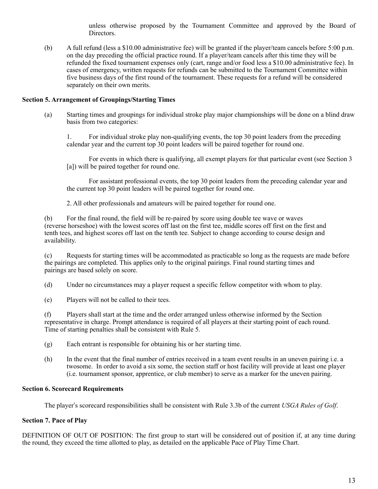unless otherwise proposed by the Tournament Committee and approved by the Board of Directors.

(b) A full refund (less a \$10.00 administrative fee) will be granted if the player/team cancels before 5:00 p.m. on the day preceding the official practice round. If a player/team cancels after this time they will be refunded the fixed tournament expenses only (cart, range and/or food less a \$10.00 administrative fee). In cases of emergency, written requests for refunds can be submitted to the Tournament Committee within five business days of the first round of the tournament. These requests for a refund will be considered separately on their own merits.

#### **Section 5. Arrangement of Groupings/Starting Times**

(a) Starting times and groupings for individual stroke play major championships will be done on a blind draw basis from two categories:

1. For individual stroke play non-qualifying events, the top 30 point leaders from the preceding calendar year and the current top 30 point leaders will be paired together for round one.

For events in which there is qualifying, all exempt players for that particular event (see Section 3 [a]) will be paired together for round one.

For assistant professional events, the top 30 point leaders from the preceding calendar year and the current top 30 point leaders will be paired together for round one.

2. All other professionals and amateurs will be paired together for round one.

(b) For the final round, the field will be re-paired by score using double tee wave or waves (reverse horseshoe) with the lowest scores off last on the first tee, middle scores off first on the first and tenth tees, and highest scores off last on the tenth tee. Subject to change according to course design and availability.

(c) Requests for starting times will be accommodated as practicable so long as the requests are made before the pairings are completed. This applies only to the original pairings. Final round starting times and pairings are based solely on score.

(d) Under no circumstances may a player request a specific fellow competitor with whom to play.

(e) Players will not be called to their tees.

(f) Players shall start at the time and the order arranged unless otherwise informed by the Section representative in charge. Prompt attendance is required of all players at their starting point of each round. Time of starting penalties shall be consistent with Rule 5.

(g) Each entrant is responsible for obtaining his or her starting time.

(h) In the event that the final number of entries received in a team event results in an uneven pairing i.e. a twosome. In order to avoid a six some, the section staff or host facility will provide at least one player (i.e. tournament sponsor, apprentice, or club member) to serve as a marker for the uneven pairing.

#### **Section 6. Scorecard Requirements**

The player's scorecard responsibilities shall be consistent with Rule 3.3b of the current *USGA Rules of Golf*.

#### **Section 7. Pace of Play**

DEFINITION OF OUT OF POSITION: The first group to start will be considered out of position if, at any time during the round, they exceed the time allotted to play, as detailed on the applicable Pace of Play Time Chart.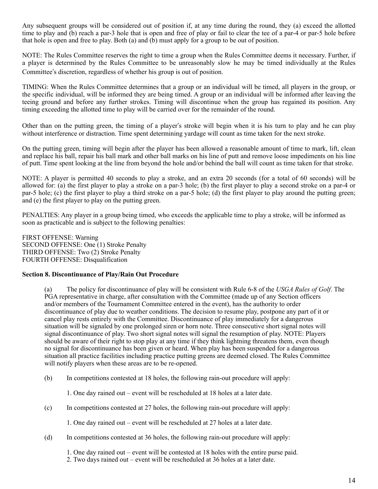Any subsequent groups will be considered out of position if, at any time during the round, they (a) exceed the allotted time to play and (b) reach a par-3 hole that is open and free of play or fail to clear the tee of a par-4 or par-5 hole before that hole is open and free to play. Both (a) and (b) must apply for a group to be out of position.

NOTE: The Rules Committee reserves the right to time a group when the Rules Committee deems it necessary. Further, if a player is determined by the Rules Committee to be unreasonably slow he may be timed individually at the Rules Committee's discretion, regardless of whether his group is out of position.

TIMING: When the Rules Committee determines that a group or an individual will be timed, all players in the group, or the specific individual, will be informed they are being timed. A group or an individual will be informed after leaving the teeing ground and before any further strokes. Timing will discontinue when the group has regained its position. Any timing exceeding the allotted time to play will be carried over for the remainder of the round.

Other than on the putting green, the timing of a player's stroke will begin when it is his turn to play and he can play without interference or distraction. Time spent determining vardage will count as time taken for the next stroke.

On the putting green, timing will begin after the player has been allowed a reasonable amount of time to mark, lift, clean and replace his ball, repair his ball mark and other ball marks on his line of putt and remove loose impediments on his line of putt. Time spent looking at the line from beyond the hole and/or behind the ball will count as time taken for that stroke.

NOTE: A player is permitted 40 seconds to play a stroke, and an extra 20 seconds (for a total of 60 seconds) will be allowed for: (a) the first player to play a stroke on a par-3 hole; (b) the first player to play a second stroke on a par-4 or par-5 hole; (c) the first player to play a third stroke on a par-5 hole; (d) the first player to play around the putting green; and (e) the first player to play on the putting green.

PENALTIES: Any player in a group being timed, who exceeds the applicable time to play a stroke, will be informed as soon as practicable and is subject to the following penalties:

FIRST OFFENSE: Warning SECOND OFFENSE: One (1) Stroke Penalty THIRD OFFENSE: Two (2) Stroke Penalty FOURTH OFFENSE: Disqualification

#### **Section 8. Discontinuance of Play/Rain Out Procedure**

(a) The policy for discontinuance of play will be consistent with Rule 6-8 of the *USGA Rules of Golf*. The PGA representative in charge, after consultation with the Committee (made up of any Section officers and/or members of the Tournament Committee entered in the event), has the authority to order discontinuance of play due to weather conditions. The decision to resume play, postpone any part of it or cancel play rests entirely with the Committee. Discontinuance of play immediately for a dangerous situation will be signaled by one prolonged siren or horn note. Three consecutive short signal notes will signal discontinuance of play. Two short signal notes will signal the resumption of play. NOTE: Players should be aware of their right to stop play at any time if they think lightning threatens them, even though no signal for discontinuance has been given or heard. When play has been suspended for a dangerous situation all practice facilities including practice putting greens are deemed closed. The Rules Committee will notify players when these areas are to be re-opened.

(b) In competitions contested at 18 holes, the following rain-out procedure will apply:

1. One day rained out – event will be rescheduled at 18 holes at a later date.

(c) In competitions contested at 27 holes, the following rain-out procedure will apply:

1. One day rained out – event will be rescheduled at 27 holes at a later date.

(d) In competitions contested at 36 holes, the following rain-out procedure will apply:

1. One day rained out – event will be contested at 18 holes with the entire purse paid.

2. Two days rained out – event will be rescheduled at 36 holes at a later date.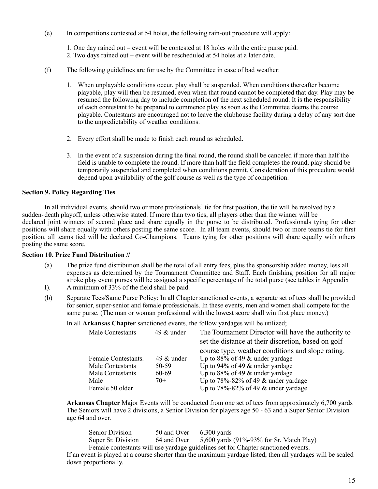(e) In competitions contested at 54 holes, the following rain-out procedure will apply:

1. One day rained out – event will be contested at 18 holes with the entire purse paid.

- 2. Two days rained out event will be rescheduled at 54 holes at a later date.
- (f) The following guidelines are for use by the Committee in case of bad weather:
	- 1. When unplayable conditions occur, play shall be suspended. When conditions thereafter become playable, play will then be resumed, even when that round cannot be completed that day. Play may be resumed the following day to include completion of the next scheduled round. It is the responsibility of each contestant to be prepared to commence play as soon as the Committee deems the course playable. Contestants are encouraged not to leave the clubhouse facility during a delay of any sort due to the unpredictability of weather conditions.
	- 2. Every effort shall be made to finish each round as scheduled.
	- 3. In the event of a suspension during the final round, the round shall be canceled if more than half the field is unable to complete the round. If more than half the field completes the round, play should be temporarily suspended and completed when conditions permit. Consideration of this procedure would depend upon availability of the golf course as well as the type of competition.

#### **Section 9. Policy Regarding Ties**

In all individual events, should two or more professionals` tie for first position, the tie will be resolved by a sudden-death playoff, unless otherwise stated. If more than two ties, all players other than the winner will be declared joint winners of second place and share equally in the purse to be distributed. Professionals tying for other positions will share equally with others posting the same score. In all team events, should two or more teams tie for first position, all teams tied will be declared Co-Champions. Teams tying for other positions will share equally with others posting the same score.

#### **Section 10. Prize Fund Distribution //**

- (a) The prize fund distribution shall be the total of all entry fees, plus the sponsorship added money, less all expenses as determined by the Tournament Committee and Staff. Each finishing position for all major stroke play event purses will be assigned a specific percentage of the total purse (see tables in Appendix
- I). A minimum of 33% of the field shall be paid.
- (b) Separate Tees/Same Purse Policy: In all Chapter sanctioned events, a separate set of tees shall be provided for senior, super-senior and female professionals. In these events, men and women shall compete for the same purse. (The man or woman professional with the lowest score shall win first place money.)

In all **Arkansas Chapter** sanctioned events, the follow yardages will be utilized;

| Male Contestants    | 49 $&$ under | The Tournament Director will have the authority to  |
|---------------------|--------------|-----------------------------------------------------|
|                     |              | set the distance at their discretion, based on golf |
|                     |              | course type, weather conditions and slope rating.   |
| Female Contestants. | 49 $&$ under | Up to $88\%$ of 49 & under yardage                  |
| Male Contestants    | 50-59        | Up to 94% of 49 $\&$ under yardage                  |
| Male Contestants    | 60-69        | Up to $88\%$ of 49 $\&$ under yardage               |
| Male                | $70+$        | Up to $78\% - 82\%$ of 49 & under yardage           |
| Female 50 older     |              | Up to $78\% - 82\%$ of 49 & under yardage           |
|                     |              |                                                     |

**Arkansas Chapter** Major Events will be conducted from one set of tees from approximately 6,700 yards The Seniors will have 2 divisions, a Senior Division for players age 50 - 63 and a Super Senior Division age 64 and over.

Senior Division 50 and Over 6,300 yards Super Sr. Division 64 and Over 5,600 yards (91%-93% for Sr. Match Play) Female contestants will use yardage guidelines set for Chapter sanctioned events. If an event is played at a course shorter than the maximum yardage listed, then all yardages will be scaled down proportionally.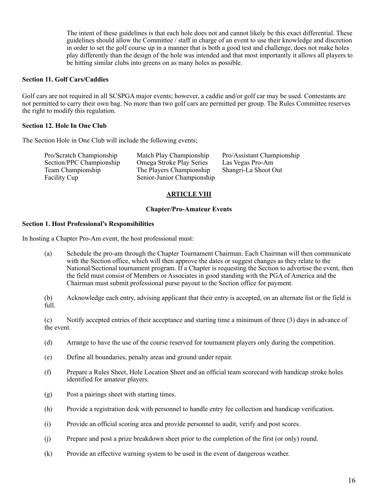The intent of these guidelines is that each hole does not and cannot likely be this exact differential. These guidelines should allow the Committee / staff in charge of an event to use their knowledge and discretion in order to set the golf course up in a manner that is both a good test and challenge, does not make holes play differently than the design of the hole was intended and that most importantly it allows all players to be hitting similar clubs into greens on as many holes as possible.

#### **Section 11. Golf Cars/Caddies**

Golf cars are not required in all SCSPGA major events; however, a caddie and/or golf car may be used. Contestants are not permitted to carry their own bag. No more than two golf cars are permitted per group. The Rules Committee reserves the right to modify this regulation.

#### **Section 12. Hole In One Club**

The Section Hole in One Club will include the following events;

Pro/Scratch Championship Match Play Championship Pro/Assistant Championship Section/PPC Championship Omega Stroke Play Series Las Vegas Pro-Am Section/PPC Championship Omega Stroke Play Series Las Vegas Pro-Am<br>
Team Championship The Players Championship Shangri-La Shoot Out The Players Championship Facility Cup Senior-Junior Championship

#### **ARTICLE VIII**

#### **Chapter/Pro-Amateur Events**

#### **Section 1. Host Professional's Responsibilities**

In hosting a Chapter Pro-Am event, the host professional must:

(a) Schedule the pro-am through the Chapter Tournament Chairman. Each Chairman will then communicate with the Section office, which will then approve the dates or suggest changes as they relate to the National/Sectional tournament program. If a Chapter is requesting the Section to advertise the event, then the field must consist of Members or Associates in good standing with the PGA of America and the Chairman must submit professional purse payout to the Section office for payment.

(b) Acknowledge each entry, advising applicant that their entry is accepted, on an alternate list or the field is full.

(c) Notify accepted entries of their acceptance and starting time a minimum of three (3) days in advance of the event.

- (d) Arrange to have the use of the course reserved for tournament players only during the competition.
- (e) Define all boundaries, penalty areas and ground under repair.
- (f) Prepare a Rules Sheet, Hole Location Sheet and an official team scorecard with handicap stroke holes identified for amateur players.
- (g) Post a pairings sheet with starting times.
- (h) Provide a registration desk with personnel to handle entry fee collection and handicap verification.
- (i) Provide an official scoring area and provide personnel to audit, verify and post scores.
- (j) Prepare and post a prize breakdown sheet prior to the completion of the first (or only) round.
- (k) Provide an effective warning system to be used in the event of dangerous weather.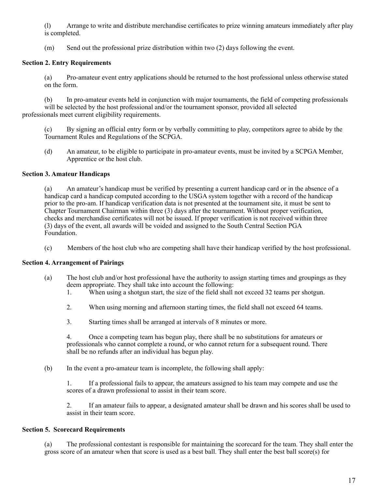(l) Arrange to write and distribute merchandise certificates to prize winning amateurs immediately after play is completed.

(m) Send out the professional prize distribution within two (2) days following the event.

#### **Section 2. Entry Requirements**

(a) Pro-amateur event entry applications should be returned to the host professional unless otherwise stated on the form.

(b) In pro-amateur events held in conjunction with major tournaments, the field of competing professionals will be selected by the host professional and/or the tournament sponsor, provided all selected professionals meet current eligibility requirements.

(c) By signing an official entry form or by verbally committing to play, competitors agree to abide by the Tournament Rules and Regulations of the SCPGA.

(d) An amateur, to be eligible to participate in pro-amateur events, must be invited by a SCPGA Member, Apprentice or the host club.

#### **Section 3. Amateur Handicaps**

(a) An amateur's handicap must be verified by presenting a current handicap card or in the absence of a handicap card a handicap computed according to the USGA system together with a record of the handicap prior to the pro-am. If handicap verification data is not presented at the tournament site, it must be sent to Chapter Tournament Chairman within three (3) days after the tournament. Without proper verification, checks and merchandise certificates will not be issued. If proper verification is not received within three (3) days of the event, all awards will be voided and assigned to the South Central Section PGA Foundation.

(c) Members of the host club who are competing shall have their handicap verified by the host professional.

#### **Section 4. Arrangement of Pairings**

- (a) The host club and/or host professional have the authority to assign starting times and groupings as they deem appropriate. They shall take into account the following:
	- 1. When using a shotgun start, the size of the field shall not exceed 32 teams per shotgun.
	- 2. When using morning and afternoon starting times, the field shall not exceed 64 teams.
	- 3. Starting times shall be arranged at intervals of 8 minutes or more.

4. Once a competing team has begun play, there shall be no substitutions for amateurs or professionals who cannot complete a round, or who cannot return for a subsequent round. There shall be no refunds after an individual has begun play.

(b) In the event a pro-amateur team is incomplete, the following shall apply:

1. If a professional fails to appear, the amateurs assigned to his team may compete and use the scores of a drawn professional to assist in their team score.

2. If an amateur fails to appear, a designated amateur shall be drawn and his scores shall be used to assist in their team score.

#### **Section 5. Scorecard Requirements**

(a) The professional contestant is responsible for maintaining the scorecard for the team. They shall enter the gross score of an amateur when that score is used as a best ball. They shall enter the best ball score(s) for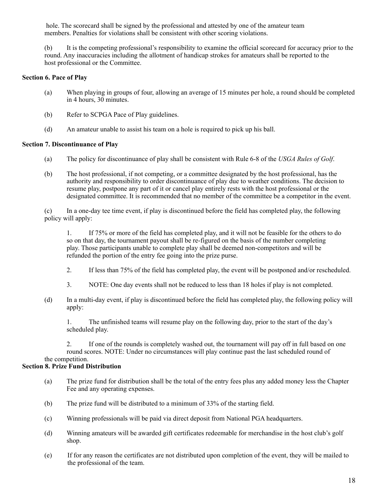hole. The scorecard shall be signed by the professional and attested by one of the amateur team members. Penalties for violations shall be consistent with other scoring violations.

(b) It is the competing professional's responsibility to examine the official scorecard for accuracy prior to the round. Any inaccuracies including the allotment of handicap strokes for amateurs shall be reported to the host professional or the Committee.

#### **Section 6. Pace of Play**

- (a) When playing in groups of four, allowing an average of 15 minutes per hole, a round should be completed in 4 hours, 30 minutes.
- (b) Refer to SCPGA Pace of Play guidelines.
- (d) An amateur unable to assist his team on a hole is required to pick up his ball.

#### **Section 7. Discontinuance of Play**

- (a) The policy for discontinuance of play shall be consistent with Rule 6-8 of the *USGA Rules of Golf*.
- (b) The host professional, if not competing, or a committee designated by the host professional, has the authority and responsibility to order discontinuance of play due to weather conditions. The decision to resume play, postpone any part of it or cancel play entirely rests with the host professional or the designated committee. It is recommended that no member of the committee be a competitor in the event.

(c) In a one-day tee time event, if play is discontinued before the field has completed play, the following policy will apply:

1. If 75% or more of the field has completed play, and it will not be feasible for the others to do so on that day, the tournament payout shall be re-figured on the basis of the number completing play. Those participants unable to complete play shall be deemed non-competitors and will be refunded the portion of the entry fee going into the prize purse.

- 2. If less than 75% of the field has completed play, the event will be postponed and/or rescheduled.
- 3. NOTE: One day events shall not be reduced to less than 18 holes if play is not completed.
- (d) In a multi-day event, if play is discontinued before the field has completed play, the following policy will apply:

1. The unfinished teams will resume play on the following day, prior to the start of the day's scheduled play.

2. If one of the rounds is completely washed out, the tournament will pay off in full based on one round scores. NOTE: Under no circumstances will play continue past the last scheduled round of the competition.

#### **Section 8. Prize Fund Distribution**

- (a) The prize fund for distribution shall be the total of the entry fees plus any added money less the Chapter Fee and any operating expenses.
- (b) The prize fund will be distributed to a minimum of 33% of the starting field.
- (c) Winning professionals will be paid via direct deposit from National PGA headquarters.
- (d) Winning amateurs will be awarded gift certificates redeemable for merchandise in the host club's golf shop.
- (e) If for any reason the certificates are not distributed upon completion of the event, they will be mailed to the professional of the team.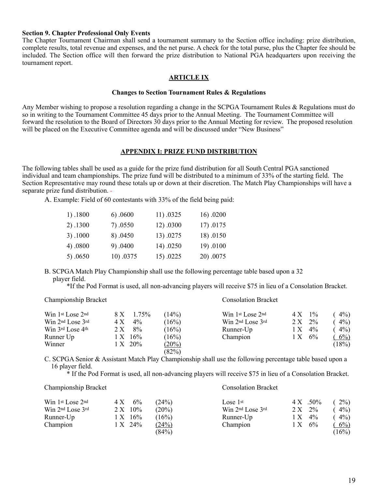#### **Section 9. Chapter Professional Only Events**

The Chapter Tournament Chairman shall send a tournament summary to the Section office including: prize distribution, complete results, total revenue and expenses, and the net purse. A check for the total purse, plus the Chapter fee should be included. The Section office will then forward the prize distribution to National PGA headquarters upon receiving the tournament report.

#### **ARTICLE IX**

#### **Changes to Section Tournament Rules & Regulations**

Any Member wishing to propose a resolution regarding a change in the SCPGA Tournament Rules & Regulations must do so in writing to the Tournament Committee 45 days prior to the Annual Meeting. The Tournament Committee will forward the resolution to the Board of Directors 30 days prior to the Annual Meeting for review. The proposed resolution will be placed on the Executive Committee agenda and will be discussed under "New Business"

#### **APPENDIX I: PRIZE FUND DISTRIBUTION**

The following tables shall be used as a guide for the prize fund distribution for all South Central PGA sanctioned individual and team championships. The prize fund will be distributed to a minimum of 33% of the starting field. The Section Representative may round these totals up or down at their discretion. The Match Play Championships will have a separate prize fund distribution.

A. Example: Field of 60 contestants with 33% of the field being paid:

| 1).1800    | 6) .0600  | 11) .0325 | 16).0200  |
|------------|-----------|-----------|-----------|
| 2) .1300   | 7).0550   | 12) .0300 | 17) .0175 |
| 3) .1000   | 8).0450   | 13) .0275 | 18) .0150 |
| 4).0800    | 9).0400   | 14) .0250 | 19).0100  |
| 5). $0650$ | 10) .0375 | 15).0225  | 20).0075  |

B. SCPGA Match Play Championship shall use the following percentage table based upon a 32 player field.

\*If the Pod Format is used, all non-advancing players will receive \$75 in lieu of a Consolation Bracket.

| Championship Bracket                 |                              |                | <b>Consolation Bracket</b>                                   |                             |                |
|--------------------------------------|------------------------------|----------------|--------------------------------------------------------------|-----------------------------|----------------|
| Win 1st Lose 2nd<br>Win 2nd Lose 3rd | 1.75%<br>8 X<br>$4\%$<br>4 X | (14%)<br>(16%) | Win 1st Lose 2nd<br>Win 2 <sup>nd</sup> Lose 3 <sup>rd</sup> | $1\%$<br>4 X<br>$2\%$<br>2X | $4\%$<br>$4\%$ |
| Win 3rd Lose 4th                     | 8%<br>2 X                    | (16%)          | Runner-Up                                                    | $4\%$<br>1 X                | $4\%$          |
| Runner Up                            | 16%<br>1 X                   | (16%)          | Champion                                                     | 6%<br>1 X                   | $6\%$          |
| Winner                               | $1 \times 20\%$              | $(20\%)$       |                                                              |                             | (18%)          |
|                                      |                              | (82%)          |                                                              |                             |                |

C. SCPGA Senior & Assistant Match Play Championship shall use the following percentage table based upon a 16 player field.

\* If the Pod Format is used, all non-advancing players will receive \$75 in lieu of a Consolation Bracket.

#### Championship Bracket Consolation Bracket

| Win 1st Lose 2nd                         | 4 X | 6%         | (24%)    | Lose $1st$       |           | $4 \text{ X}$ .50% | $2\%)$ |
|------------------------------------------|-----|------------|----------|------------------|-----------|--------------------|--------|
| Win 2 <sup>nd</sup> Lose 3 <sup>rd</sup> |     | $2 X 10\%$ | $(20\%)$ | Win 2nd Lose 3rd | $2 X 2\%$ |                    | $4\%$  |
| Runner-Up                                |     | 1 X 16%    | (16%)    | Runner-Up        | 1 X       | $4\%$              | $4\%$  |
| Champion                                 |     | 1 X 24%    | (24%)    | Champion         | 1 X       | 6%                 | $6\%$  |
|                                          |     |            | (84%)    |                  |           |                    | (16%)  |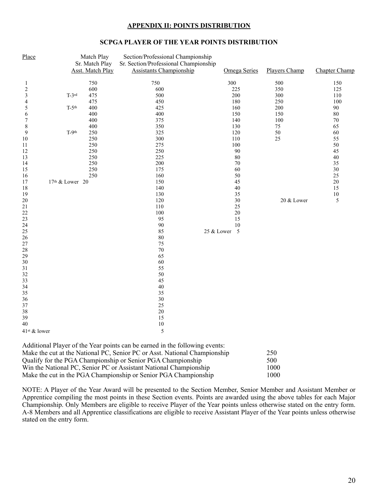#### **APPENDIX II: POINTS DISTRIBUTION**

#### **SCPGA PLAYER OF THE YEAR POINTS DISTRIBUTION**

| Place                    |                 | Match Play<br>Sr. Match Play | Section/Professional Championship<br>Sr. Section/Professional Championship  |                     |               |               |
|--------------------------|-----------------|------------------------------|-----------------------------------------------------------------------------|---------------------|---------------|---------------|
|                          |                 | <b>Asst. Match Play</b>      | <b>Assistants Championship</b>                                              | <b>Omega Series</b> | Players Champ | Chapter Champ |
| 1                        |                 | 750                          | 750                                                                         | 300                 | 500           | 150           |
| $\boldsymbol{2}$         |                 | 600                          | 600                                                                         | 225                 | 350           | 125           |
| $\mathfrak{Z}$           | $T-3$ rd        | 475                          | 500                                                                         | 200                 | 300           | 110           |
| 4                        |                 | 475                          | 450                                                                         | 180                 | 250           | 100           |
| $\sqrt{5}$               | $T-5th$         | 400                          | 425                                                                         | 160                 | 200           | 90            |
| $\sqrt{6}$               |                 | 400                          | 400                                                                         | 150                 | 150           | $80\,$        |
| 7                        |                 | 400                          | 375                                                                         | 140                 | 100           | $70\,$        |
| $\,$ $\,$                |                 | 400                          | 350                                                                         | 130                 | $75\,$        | 65            |
| 9                        | $T-9th$         | 250                          | 325                                                                         | 120                 | 50            | 60            |
| $10\,$                   |                 | 250                          | 300                                                                         | 110                 | 25            | 55            |
| 11                       |                 | 250                          | 275                                                                         | 100                 |               | 50            |
| 12                       |                 | 250                          | 250                                                                         | 90                  |               | 45            |
| 13                       |                 | 250                          | 225                                                                         | 80                  |               | $40\,$        |
| 14                       |                 | 250                          | 200                                                                         | 70                  |               | 35            |
| 15                       |                 | 250                          | 175                                                                         | 60                  |               | $30\,$        |
| 16                       |                 | 250                          | 160                                                                         | 50                  |               | 25            |
| 17                       | 17th & Lower 20 |                              | 150                                                                         | 45                  |               | $20\,$        |
| 18                       |                 |                              | 140                                                                         | 40                  |               | 15            |
| 19                       |                 |                              | 130                                                                         | 35                  |               | $10\,$        |
| $20\,$                   |                 |                              | 120                                                                         | 30                  | 20 & Lower    | 5             |
| 21                       |                 |                              | 110                                                                         | 25                  |               |               |
| $22\,$                   |                 |                              | 100                                                                         | $20\,$              |               |               |
| 23                       |                 |                              | 95                                                                          | 15                  |               |               |
| 24                       |                 |                              | $90\,$                                                                      | 10                  |               |               |
| $25\,$                   |                 |                              | 85                                                                          | 25 & Lower 5        |               |               |
| 26                       |                 |                              | 80                                                                          |                     |               |               |
| 27                       |                 |                              | 75                                                                          |                     |               |               |
| $28\,$                   |                 |                              | $70\,$                                                                      |                     |               |               |
| 29                       |                 |                              | 65                                                                          |                     |               |               |
| $30\,$                   |                 |                              | 60                                                                          |                     |               |               |
| 31                       |                 |                              | 55                                                                          |                     |               |               |
| $32\,$                   |                 |                              | 50                                                                          |                     |               |               |
| 33                       |                 |                              | 45                                                                          |                     |               |               |
| 34                       |                 |                              | 40                                                                          |                     |               |               |
| 35                       |                 |                              | 35                                                                          |                     |               |               |
| 36                       |                 |                              | $30\,$                                                                      |                     |               |               |
| 37                       |                 |                              | 25                                                                          |                     |               |               |
| 38<br>39                 |                 |                              | $20\,$<br>15                                                                |                     |               |               |
|                          |                 |                              |                                                                             |                     |               |               |
| 40                       |                 |                              | $10\,$                                                                      |                     |               |               |
| 41 <sup>st</sup> & lower |                 |                              | 5                                                                           |                     |               |               |
|                          |                 |                              | Additional Player of the Year points can be earned in the following events: |                     |               |               |

| Make the cut at the National PC, Senior PC or Asst. National Championship | 250  |
|---------------------------------------------------------------------------|------|
| Qualify for the PGA Championship or Senior PGA Championship               | 500  |
| Win the National PC, Senior PC or Assistant National Championship         | 1000 |
| Make the cut in the PGA Championship or Senior PGA Championship           | 1000 |

NOTE: A Player of the Year Award will be presented to the Section Member, Senior Member and Assistant Member or Apprentice compiling the most points in these Section events. Points are awarded using the above tables for each Major Championship. Only Members are eligible to receive Player of the Year points unless otherwise stated on the entry form. A-8 Members and all Apprentice classifications are eligible to receive Assistant Player of the Year points unless otherwise stated on the entry form.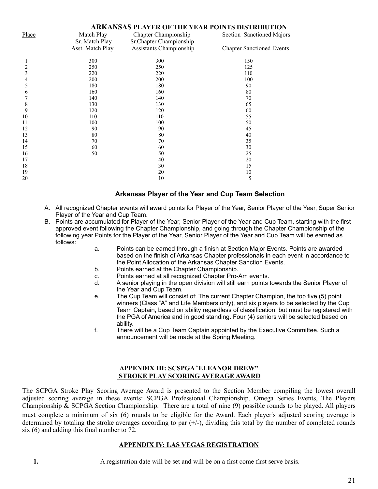| <b>ARKANSAS PLAYER OF THE YEAR POINTS DISTRIBUTION</b> |                         |                                |                                  |  |
|--------------------------------------------------------|-------------------------|--------------------------------|----------------------------------|--|
| Place                                                  | Match Play              | Chapter Championship           |                                  |  |
|                                                        | Sr. Match Play          | Sr.Chapter Championship        |                                  |  |
|                                                        | <b>Asst. Match Play</b> | <b>Assistants Championship</b> | <b>Chapter Sanctioned Events</b> |  |
|                                                        | 300                     | 300                            | 150                              |  |
| $\overline{2}$                                         | 250                     | 250                            | 125                              |  |
| 3                                                      | 220                     | 220                            | 110                              |  |
| 4                                                      | 200                     | 200                            | 100                              |  |
| 5                                                      | 180                     | 180                            | 90                               |  |
| 6                                                      | 160                     | 160                            | 80                               |  |
| 7                                                      | 140                     | 140                            | 70                               |  |
| 8                                                      | 130                     | 130                            | 65                               |  |
| 9                                                      | 120                     | 120                            | 60                               |  |
| 10                                                     | 110                     | 110                            | 55                               |  |
| 11                                                     | 100                     | 100                            | 50                               |  |
| 12                                                     | 90                      | 90                             | 45                               |  |
| 13                                                     | 80                      | 80                             | 40                               |  |
| 14                                                     | 70                      | 70                             | 35                               |  |
| 15                                                     | 60                      | 60                             | 30                               |  |
| 16                                                     | 50                      | 50                             | 25                               |  |
| 17                                                     |                         | 40                             | 20                               |  |
| 18                                                     |                         | 30                             | 15                               |  |
| 19                                                     |                         | 20                             | 10                               |  |
| 20                                                     |                         | 10                             | 5                                |  |

#### **Arkansas Player of the Year and Cup Team Selection**

- A. All recognized Chapter events will award points for Player of the Year, Senior Player of the Year, Super Senior Player of the Year and Cup Team.
- B. Points are accumulated for Player of the Year, Senior Player of the Year and Cup Team, starting with the first approved event following the Chapter Championship, and going through the Chapter Championship of the following year.Points for the Player of the Year, Senior Player of the Year and Cup Team will be earned as follows:
	- a. Points can be earned through a finish at Section Major Events. Points are awarded based on the finish of Arkansas Chapter professionals in each event in accordance to the Point Allocation of the Arkansas Chapter Sanction Events.
	- b. Points earned at the Chapter Championship.
	- c. Points earned at all recognized Chapter Pro-Am events.<br>d. A senior playing in the open division will still earn points to
	- d. A senior playing in the open division will still earn points towards the Senior Player of the Year and Cup Team.
	- e. The Cup Team will consist of: The current Chapter Champion, the top five (5) point winners (Class "A" and Life Members only), and six players to be selected by the Cup Team Captain, based on ability regardless of classification, but must be registered with the PGA of America and in good standing. Four (4) seniors will be selected based on ability.
	- f. There will be a Cup Team Captain appointed by the Executive Committee. Such a announcement will be made at the Spring Meeting.

#### **APPENDIX III: SCSPGA** !**ELEANOR DREW" STROKE PLAY SCORING AVERAGE AWARD**

The SCPGA Stroke Play Scoring Average Award is presented to the Section Member compiling the lowest overall adjusted scoring average in these events: SCPGA Professional Championship, Omega Series Events, The Players Championship & SCPGA Section Championship. There are a total of nine (9) possible rounds to be played. All players must complete a minimum of six (6) rounds to be eligible for the Award. Each player's adjusted scoring average is determined by totaling the stroke averages according to par  $(+)$ , dividing this total by the number of completed rounds six (6) and adding this final number to 72.

#### **APPENDIX IV: LAS VEGAS REGISTRATION**

**1.** A registration date will be set and will be on a first come first serve basis.